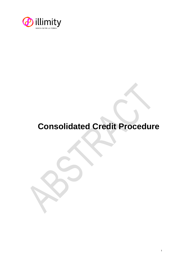

## **Consolidated Credit Procedure**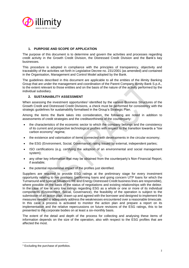

## **1. PURPOSE AND SCOPE OF APPLICATION**

The purpose of this document is to determine and govern the activities and processes regarding credit activity in the Growth Credit Division, the Distressed Credit Division and the Bank's key businesses.

This procedure is adopted in compliance with the principles of transparency, objectivity and traceability of the activities set forth in Legislative Decree no. 231/2001 (as amended) and contained in the Organisation, Management and Control Model adopted by the Bank.

The guidelines described in this document are applicable to all the entities of the illimity Banking Group that are under the management and coordination of the Parent Company illimity Bank S.p.A., to the extent relevant to those entities and on the basis of the nature of the activity performed by the individual subsidiary.

## **2. SUSTAINABILITY ASSESSMENT**

When assessing the investment opportunities<sup>1</sup> identified by the various Business Structures of the Growth Credit and Distressed Credit Divisions, a check must be performed for consistency with the strategic guidelines for sustainability formalised in the Group's Strategic Plan.

Among the items the Bank takes into consideration, the following are noted in addition to assessments of credit strategies and the creditworthiness of the counterparty:

- the characteristics of the economic sector to which the company belongs and the consistency of its current and prospective technological profiles with respect to the transition towards a "low carbon economy" regime;
- the existence and valorisation of items connected with developments in the circular economy;
- the ESG (Environment, Social, Governance) rating issued by external, independent parties;
- ISO certifications (e.g. certifying the adoption of an environmental and social management system);
- any other key information that may be obtained from the counterparty's Non-Financial Report, if available;
- the potential reputational impact of the profiles just identified.

Suppliers are required to provide ESG ratings at the preliminary stage for every investment opportunity relating to live positions (performing loans and going concern UTP loans for which the Turnaround and Special Situations RE and Energy Distressed Credit business lines are responsible), where possible on the basis of the status of negotiations and existing relationships with the debtor. In the case of low or very low ratings regarding ESG as a whole or one or more of its individual components (Environment, Social, Governance), the feasibility of the operation is subject to the submission of an action plan, drawn up and agreed with the borrower and designed to implement the measures needed to adequately address the weaknesses encountered over a reasonable timescale. In this case a process is activated to monitor the action plan and prepare a report on its implementation and the relative repercussions on future revisions of the ESG ratings, this to be presented to the corporate bodies on at least a six-monthly basis.

The extent of the detail and depth of the process for collecting and analysing these items of information depends on the size of the operation, also with respect to the ESG profiles that are affected the most.

<sup>1</sup> Excluding the purchase of portfolios.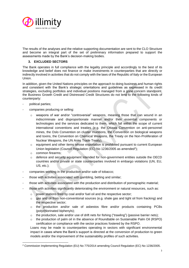

The results of the analyses and the relative supporting documentation are sent to the CLO Structure and become an integral part of the set of preliminary information prepared to support the assessments made by the Bank's decision-making bodies.

## **3. EXCLUDED SECTORS**

The Bank operates in full compliance with the legality principle and accordingly to the best of its knowledge and belief does not finance or make investments in counterparties that are directly or indirectly involved in activities that do not comply with the laws of the Republic of Italy or the European Union.

In addition, given the United Nations principles on the approach to doing business and human rights and consistent with the Bank's strategic orientations and guidelines as expressed in its credit strategies, excluding portfolios and individual positions managed from a gone concern standpoint, the Business Growth Credit and Distressed Credit Structures do not lend to the following kinds of counterparty:

- political parties;
- companies producing or selling:
	- $\circ$  weapons of war and/or "controversial" weapons, meaning those that can wound in an indiscriminate and disproportionate manner and/or their essential components or technologies and the services dedicated to them, which fall within the scope of current international conventions and treaties (e.g. the Ottawa Convention on anti-personnel mines, the Oslo Convention on cluster munitions, the Convention on biological weapons and toxins, the Convention on Chemical Weapons, the Treaty on the Non-Proliferation of Nuclear Weapons, the UN Arms Trade Treaty);
	- $\circ$  equipment and other items whose exportation is prohibited pursuant to current European Union legislation (Council Regulation (EC) No 1236/2005 as amended<sup>2</sup>);
	- o common firearms;
	- $\circ$  defence and security equipment intended for non-government entities outside the OECD countries and/or private or state counterparties involved in embargo violations (UN, EU, US, etc.);
- companies working in the production and/or sale of tobacco;
- those with activities associated with gambling, betting and similar;
- those with activities associated with the production and distribution of pornographic material;
- those with activities significantly deteriorating the environment or natural resources, such as:
	- o power stations fired by coal and/or fuel oil and the respective sector;
	- o gas and oil from non-conventional sources (e.g. shale gas and tight oil from fracking) and the respective sector;
	- o the production and/or sale of asbestos fibre and/or products containing PCBs (polychlorinated biphenyls);
	- $\circ$  the production, sale and/or use of drift nets for fishing ("trawling") (passive barrier nets);
	- $\circ$  the production of palm oil in the absence of Roundtable on Sustainable Palm Oil (RSPO) certification or compliance with the sector practices fostered by the RSPO.

Loans may be made to counterparties operating in sectors with significant environmental impact in cases where the Bank's support is directed at the conversion of production to green models and/or the improvement of the sustainability profiles of such activities.

<sup>2</sup> Commission Implementing Regulation (EU) No 775/2014 amending Council Regulation (EC) No 1236/2005.